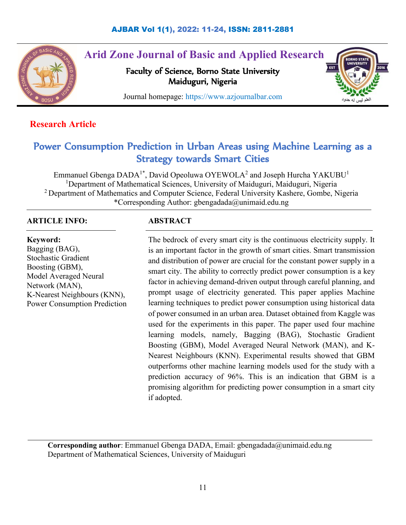

# **Arid Zone Journal of Basic and Applied Research**

Faculty of Science, Borno State University Maiduguri, Nigeria



Journal homepage: https://www.azjournalbar.com

## **Research Article**

## Power Consumption Prediction in Urban Areas using Machine Learning as a Strategy towards Smart Cities

Emmanuel Gbenga  $DADA^{1*}$ , David Opeoluwa OYEWOLA<sup>2</sup> and Joseph Hurcha YAKUBU<sup>1</sup> <sup>1</sup>Department of Mathematical Sciences, University of Maiduguri, Maiduguri, Nigeria <sup>2</sup> Department of Mathematics and Computer Science, Federal University Kashere, Gombe, Nigeria \*Corresponding Author: [gbengadada@unimaid.edu.ng](mailto:gbengadada@unimaid.edu.ng)

## **ARTICLE INFO:**

**Keyword:** Bagging (BAG), Stochastic Gradient Boosting (GBM), Model Averaged Neural Network (MAN), K-Nearest Neighbours (KNN), Power Consumption Prediction

## **ABSTRACT**

The bedrock of every smart city is the continuous electricity supply. It is an important factor in the growth of smart cities. Smart transmission and distribution of power are crucial for the constant power supply in a smart city. The ability to correctly predict power consumption is a key factor in achieving demand-driven output through careful planning, and prompt usage of electricity generated. This paper applies Machine learning techniques to predict power consumption using historical data of power consumed in an urban area. Dataset obtained from Kaggle was used for the experiments in this paper. The paper used four machine learning models, namely, Bagging (BAG), Stochastic Gradient Boosting (GBM), Model Averaged Neural Network (MAN), and K-Nearest Neighbours (KNN). Experimental results showed that GBM outperforms other machine learning models used for the study with a prediction accuracy of 96%. This is an indication that GBM is a promising algorithm for predicting power consumption in a smart city if adopted.

**Corresponding author**: Emmanuel Gbenga DADA, Email: [gbengadada@unimaid.edu.ng](mailto:gbengadada@unimaid.edu.ng) Department of Mathematical Sciences, University of Maiduguri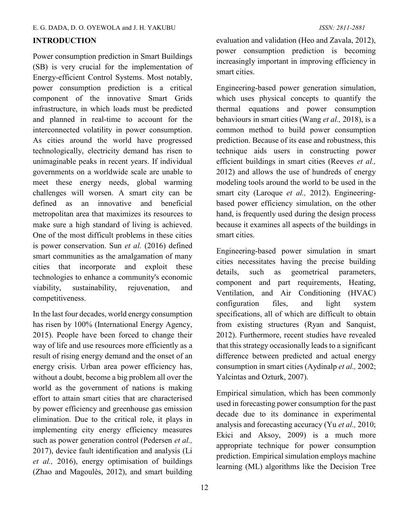## **INTRODUCTION**

Power consumption prediction in Smart Buildings (SB) is very crucial for the implementation of Energy-efficient Control Systems. Most notably, power consumption prediction is a critical component of the innovative Smart Grids infrastructure, in which loads must be predicted and planned in real-time to account for the interconnected volatility in power consumption. As cities around the world have progressed technologically, electricity demand has risen to unimaginable peaks in recent years. If individual governments on a worldwide scale are unable to meet these energy needs, global warming challenges will worsen. A smart city can be defined as an innovative and beneficial metropolitan area that maximizes its resources to make sure a high standard of living is achieved. One of the most difficult problems in these cities is power conservation. Sun *et al.* (2016) defined smart communities as the amalgamation of many cities that incorporate and exploit these technologies to enhance a community's economic viability, sustainability, rejuvenation, and competitiveness.

In the last four decades, world energy consumption has risen by 100% (International Energy Agency, 2015). People have been forced to change their way of life and use resources more efficiently as a result of rising energy demand and the onset of an energy crisis. Urban area power efficiency has, without a doubt, become a big problem all over the world as the government of nations is making effort to attain smart cities that are characterised by power efficiency and greenhouse gas emission elimination. Due to the critical role, it plays in implementing city energy efficiency measures such as power generation control (Pedersen *et al.,* 2017), device fault identification and analysis (Li *et al.,* 2016), energy optimisation of buildings (Zhao and Magoulès, 2012), and smart building

evaluation and validation (Heo and Zavala, 2012), power consumption prediction is becoming increasingly important in improving efficiency in smart cities.

Engineering-based power generation simulation, which uses physical concepts to quantify the thermal equations and power consumption behaviours in smart cities (Wang *et al.,* 2018), is a common method to build power consumption prediction. Because of its ease and robustness, this technique aids users in constructing power efficient buildings in smart cities (Reeves *et al.,*  2012) and allows the use of hundreds of energy modeling tools around the world to be used in the smart city (Laroque *et al.,* 2012). Engineeringbased power efficiency simulation, on the other hand, is frequently used during the design process because it examines all aspects of the buildings in smart cities.

Engineering-based power simulation in smart cities necessitates having the precise building details, such as geometrical parameters, component and part requirements, Heating, Ventilation, and Air Conditioning (HVAC) configuration files, and light system specifications, all of which are difficult to obtain from existing structures (Ryan and Sanquist, 2012). Furthermore, recent studies have revealed that this strategy occasionally leads to a significant difference between predicted and actual energy consumption in smart cities (Aydinalp *et al.,* 2002; Yalcintas and Ozturk, 2007).

Empirical simulation, which has been commonly used in forecasting power consumption for the past decade due to its dominance in experimental analysis and forecasting accuracy (Yu *et al.,* 2010; Ekici and Aksoy, 2009) is a much more appropriate technique for power consumption prediction. Empirical simulation employs machine learning (ML) algorithms like the Decision Tree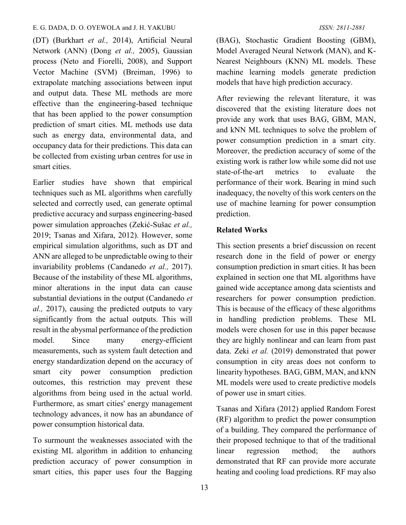#### E. G. DADA, D. O. OYEWOLA and J. H. YAKUBU *ISSN: 2811-2881*

(DT) (Burkhart *et al.,* 2014), Artificial Neural Network (ANN) (Dong *et al.,* 2005), Gaussian process (Neto and Fiorelli, 2008), and Support Vector Machine (SVM) (Breiman, 1996) to extrapolate matching associations between input and output data. These ML methods are more effective than the engineering-based technique that has been applied to the power consumption prediction of smart cities. ML methods use data such as energy data, environmental data, and occupancy data for their predictions. This data can be collected from existing urban centres for use in smart cities.

Earlier studies have shown that empirical techniques such as ML algorithms when carefully selected and correctly used, can generate optimal predictive accuracy and surpass engineering-based power simulation approaches (Zekić-Sušac *et al.,* 2019; Tsanas and Xifara, 2012). However, some empirical simulation algorithms, such as DT and ANN are alleged to be unpredictable owing to their invariability problems (Candanedo *et al.,* 2017). Because of the instability of these ML algorithms, minor alterations in the input data can cause substantial deviations in the output (Candanedo *et al.,* 2017), causing the predicted outputs to vary significantly from the actual outputs. This will result in the abysmal performance of the prediction model. Since many energy-efficient measurements, such as system fault detection and energy standardization depend on the accuracy of smart city power consumption prediction outcomes, this restriction may prevent these algorithms from being used in the actual world. Furthermore, as smart cities' energy management technology advances, it now has an abundance of power consumption historical data.

To surmount the weaknesses associated with the existing ML algorithm in addition to enhancing prediction accuracy of power consumption in smart cities, this paper uses four the Bagging

(BAG), Stochastic Gradient Boosting (GBM), Model Averaged Neural Network (MAN), and K-Nearest Neighbours (KNN) ML models. These machine learning models generate prediction models that have high prediction accuracy.

After reviewing the relevant literature, it was discovered that the existing literature does not provide any work that uses BAG, GBM, MAN, and kNN ML techniques to solve the problem of power consumption prediction in a smart city. Moreover, the prediction accuracy of some of the existing work is rather low while some did not use state-of-the-art metrics to evaluate the performance of their work. Bearing in mind such inadequacy, the novelty of this work centers on the use of machine learning for power consumption prediction.

## **Related Works**

This section presents a brief discussion on recent research done in the field of power or energy consumption prediction in smart cities. It has been explained in section one that ML algorithms have gained wide acceptance among data scientists and researchers for power consumption prediction. This is because of the efficacy of these algorithms in handling prediction problems. These ML models were chosen for use in this paper because they are highly nonlinear and can learn from past data. Zeki *et al.* (2019) demonstrated that power consumption in city areas does not conform to linearity hypotheses. BAG, GBM, MAN, and kNN ML models were used to create predictive models of power use in smart cities.

Tsanas and Xifara (2012) applied Random Forest (RF) algorithm to predict the power consumption of a building. They compared the performance of their proposed technique to that of the traditional linear regression method; the authors demonstrated that RF can provide more accurate heating and cooling load predictions. RF may also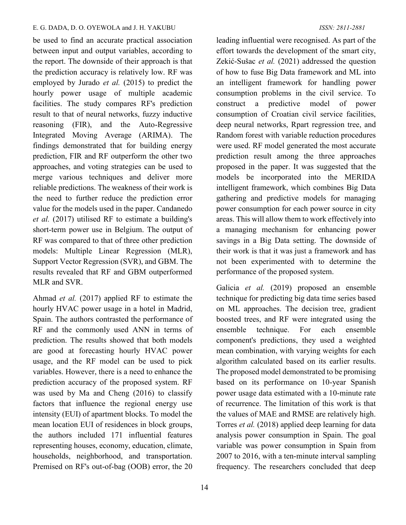#### E. G. DADA, D. O. OYEWOLA and J. H. YAKUBU *ISSN: 2811-2881*

be used to find an accurate practical association between input and output variables, according to the report. The downside of their approach is that the prediction accuracy is relatively low. RF was employed by Jurado *et al.* (2015) to predict the hourly power usage of multiple academic facilities. The study compares RF's prediction result to that of neural networks, fuzzy inductive reasoning (FIR), and the Auto-Regressive Integrated Moving Average (ARIMA). The findings demonstrated that for building energy prediction, FIR and RF outperform the other two approaches, and voting strategies can be used to merge various techniques and deliver more reliable predictions. The weakness of their work is the need to further reduce the prediction error value for the models used in the paper. Candanedo *et al.* (2017) utilised RF to estimate a building's short-term power use in Belgium. The output of RF was compared to that of three other prediction models: Multiple Linear Regression (MLR), Support Vector Regression (SVR), and GBM. The results revealed that RF and GBM outperformed MLR and SVR.

Ahmad *et al.* (2017) applied RF to estimate the hourly HVAC power usage in a hotel in Madrid, Spain. The authors contrasted the performance of RF and the commonly used ANN in terms of prediction. The results showed that both models are good at forecasting hourly HVAC power usage, and the RF model can be used to pick variables. However, there is a need to enhance the prediction accuracy of the proposed system. RF was used by Ma and Cheng (2016) to classify factors that influence the regional energy use intensity (EUI) of apartment blocks. To model the mean location EUI of residences in block groups, the authors included 171 influential features representing houses, economy, education, climate, households, neighborhood, and transportation. Premised on RF's out-of-bag (OOB) error, the 20

leading influential were recognised. As part of the effort towards the development of the smart city, Zekić-Sušac *et al.* (2021) addressed the question of how to fuse Big Data framework and ML into an intelligent framework for handling power consumption problems in the civil service. To construct a predictive model of power consumption of Croatian civil service facilities, deep neural networks, Rpart regression tree, and Random forest with variable reduction procedures were used. RF model generated the most accurate prediction result among the three approaches proposed in the paper. It was suggested that the models be incorporated into the MERIDA intelligent framework, which combines Big Data gathering and predictive models for managing power consumption for each power source in city areas. This will allow them to work effectively into a managing mechanism for enhancing power savings in a Big Data setting. The downside of their work is that it was just a framework and has not been experimented with to determine the performance of the proposed system.

Galicia *et al.* (2019) proposed an ensemble technique for predicting big data time series based on ML approaches. The decision tree, gradient boosted trees, and RF were integrated using the ensemble technique. For each ensemble component's predictions, they used a weighted mean combination, with varying weights for each algorithm calculated based on its earlier results. The proposed model demonstrated to be promising based on its performance on 10-year Spanish power usage data estimated with a 10-minute rate of recurrence. The limitation of this work is that the values of MAE and RMSE are relatively high. Torres *et al.* (2018) applied deep learning for data analysis power consumption in Spain. The goal variable was power consumption in Spain from 2007 to 2016, with a ten-minute interval sampling frequency. The researchers concluded that deep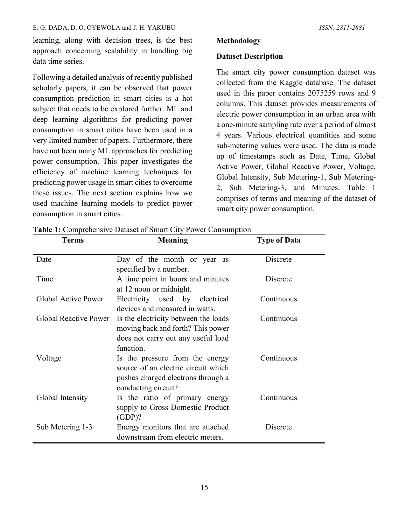#### E. G. DADA, D. O. OYEWOLA and J. H. YAKUBU *ISSN: 2811-2881*

learning, along with decision trees, is the best approach concerning scalability in handling big data time series.

Following a detailed analysis of recently published scholarly papers, it can be observed that power consumption prediction in smart cities is a hot subject that needs to be explored further. ML and deep learning algorithms for predicting power consumption in smart cities have been used in a very limited number of papers. Furthermore, there have not been many ML approaches for predicting power consumption. This paper investigates the efficiency of machine learning techniques for predicting power usage in smart cities to overcome these issues. The next section explains how we used machine learning models to predict power consumption in smart cities.

## **Methodology**

## **Dataset Description**

The smart city power consumption dataset was collected from the Kaggle database. The dataset used in this paper contains 2075259 rows and 9 columns. This dataset provides measurements of electric power consumption in an urban area with a one-minute sampling rate over a period of almost 4 years. Various electrical quantities and some sub-metering values were used. The data is made up of timestamps such as Date, Time, Global Active Power, Global Reactive Power, Voltage, Global Intensity, Sub Metering-1, Sub Metering-2, Sub Metering-3, and Minutes. Table 1 comprises of terms and meaning of the dataset of smart city power consumption.

| <b>Terms</b>                 | <b>Meaning</b>                                                                                                                      | <b>Type of Data</b> |
|------------------------------|-------------------------------------------------------------------------------------------------------------------------------------|---------------------|
| Date                         | Day of the month or year as<br>specified by a number.                                                                               | Discrete            |
| Time                         | A time point in hours and minutes<br>at 12 noon or midnight.                                                                        | Discrete            |
| Global Active Power          | Electricity used by electrical<br>devices and measured in watts.                                                                    | Continuous          |
| <b>Global Reactive Power</b> | Is the electricity between the loads<br>moving back and forth? This power<br>does not carry out any useful load<br>function.        | Continuous          |
| Voltage                      | Is the pressure from the energy<br>source of an electric circuit which<br>pushes charged electrons through a<br>conducting circuit? | Continuous          |
| Global Intensity             | Is the ratio of primary energy<br>supply to Gross Domestic Product<br>$(GDP)$ ?                                                     | Continuous          |
| Sub Metering 1-3             | Energy monitors that are attached<br>downstream from electric meters.                                                               | Discrete            |

**Table 1:** Comprehensive Dataset of Smart City Power Consumption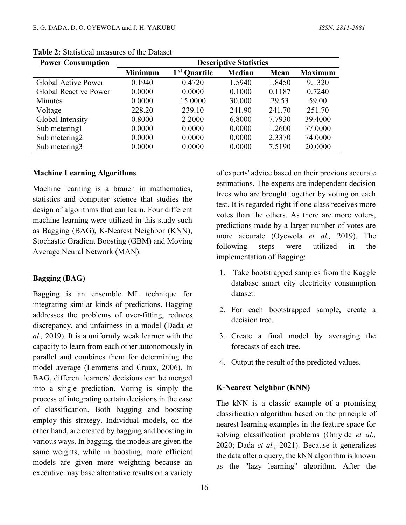| <b>Power Consumption</b>     | <b>Descriptive Statistics</b> |                          |               |        |                |
|------------------------------|-------------------------------|--------------------------|---------------|--------|----------------|
|                              | <b>Minimum</b>                | 1 <sup>st</sup> Quartile | <b>Median</b> | Mean   | <b>Maximum</b> |
| Global Active Power          | 0.1940                        | 0.4720                   | 1.5940        | 1.8450 | 9.1320         |
| <b>Global Reactive Power</b> | 0.0000                        | 0.0000                   | 0.1000        | 0.1187 | 0.7240         |
| <b>Minutes</b>               | 0.0000                        | 15.0000                  | 30.000        | 29.53  | 59.00          |
| Voltage                      | 228.20                        | 239.10                   | 241.90        | 241.70 | 251.70         |
| Global Intensity             | 0.8000                        | 2.2000                   | 6.8000        | 7.7930 | 39.4000        |
| Sub metering1                | 0.0000                        | 0.0000                   | 0.0000        | 1.2600 | 77.0000        |
| Sub metering2                | 0.0000                        | 0.0000                   | 0.0000        | 2.3370 | 74.0000        |
| Sub metering3                | 0.0000                        | 0.0000                   | 0.0000        | 7.5190 | 20.0000        |

**Table 2:** Statistical measures of the Dataset

#### **Machine Learning Algorithms**

Machine learning is a branch in mathematics, statistics and computer science that studies the design of algorithms that can learn. Four different machine learning were utilized in this study such as Bagging (BAG), K-Nearest Neighbor (KNN), Stochastic Gradient Boosting (GBM) and Moving Average Neural Network (MAN).

#### **Bagging (BAG)**

Bagging is an ensemble ML technique for integrating similar kinds of predictions. Bagging addresses the problems of over-fitting, reduces discrepancy, and unfairness in a model (Dada *et al.,* 2019). It is a uniformly weak learner with the capacity to learn from each other autonomously in parallel and combines them for determining the model average (Lemmens and Croux, 2006). In BAG, different learners' decisions can be merged into a single prediction. Voting is simply the process of integrating certain decisions in the case of classification. Both bagging and boosting employ this strategy. Individual models, on the other hand, are created by bagging and boosting in various ways. In bagging, the models are given the same weights, while in boosting, more efficient models are given more weighting because an executive may base alternative results on a variety

of experts' advice based on their previous accurate estimations. The experts are independent decision trees who are brought together by voting on each test. It is regarded right if one class receives more votes than the others. As there are more voters, predictions made by a larger number of votes are more accurate (Oyewola *et al.,* 2019). The following steps were utilized in the implementation of Bagging:

- 1. Take bootstrapped samples from the Kaggle database smart city electricity consumption dataset.
- 2. For each bootstrapped sample, create a decision tree.
- 3. Create a final model by averaging the forecasts of each tree.
- 4. Output the result of the predicted values.

#### **K-Nearest Neighbor (KNN)**

The kNN is a classic example of a promising classification algorithm based on the principle of nearest learning examples in the feature space for solving classification problems (Oniyide *et al.,* 2020; Dada *et al.,* 2021). Because it generalizes the data after a query, the kNN algorithm is known as the "lazy learning" algorithm. After the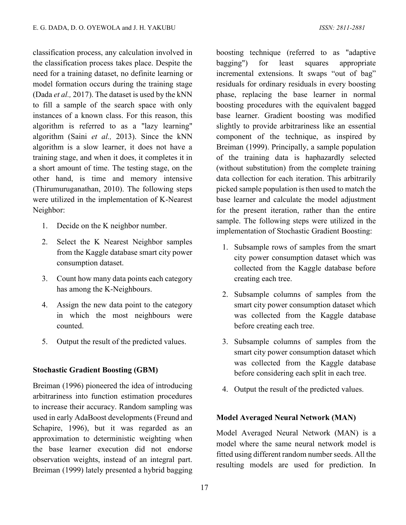classification process, any calculation involved in the classification process takes place. Despite the need for a training dataset, no definite learning or model formation occurs during the training stage (Dada *et al.,* 2017). The dataset is used by the kNN to fill a sample of the search space with only instances of a known class. For this reason, this algorithm is referred to as a "lazy learning" algorithm (Saini *et al.,* 2013). Since the kNN algorithm is a slow learner, it does not have a training stage, and when it does, it completes it in a short amount of time. The testing stage, on the other hand, is time and memory intensive (Thirumuruganathan, 2010). The following steps were utilized in the implementation of K-Nearest Neighbor:

- 1. Decide on the K neighbor number.
- 2. Select the K Nearest Neighbor samples from the Kaggle database smart city power consumption dataset.
- 3. Count how many data points each category has among the K-Neighbours.
- 4. Assign the new data point to the category in which the most neighbours were counted.
- 5. Output the result of the predicted values.

#### **Stochastic Gradient Boosting (GBM)**

Breiman (1996) pioneered the idea of introducing arbitrariness into function estimation procedures to increase their accuracy. Random sampling was used in early AdaBoost developments (Freund and Schapire, 1996), but it was regarded as an approximation to deterministic weighting when the base learner execution did not endorse observation weights, instead of an integral part. Breiman (1999) lately presented a hybrid bagging

boosting technique (referred to as "adaptive bagging") for least squares appropriate incremental extensions. It swaps "out of bag" residuals for ordinary residuals in every boosting phase, replacing the base learner in normal boosting procedures with the equivalent bagged base learner. Gradient boosting was modified slightly to provide arbitrariness like an essential component of the technique, as inspired by Breiman (1999). Principally, a sample population of the training data is haphazardly selected (without substitution) from the complete training data collection for each iteration. This arbitrarily picked sample population is then used to match the base learner and calculate the model adjustment for the present iteration, rather than the entire sample. The following steps were utilized in the implementation of Stochastic Gradient Boosting:

- 1. Subsample rows of samples from the smart city power consumption dataset which was collected from the Kaggle database before creating each tree.
- 2. Subsample columns of samples from the smart city power consumption dataset which was collected from the Kaggle database before creating each tree.
- 3. Subsample columns of samples from the smart city power consumption dataset which was collected from the Kaggle database before considering each split in each tree.
- 4. Output the result of the predicted values.

#### **Model Averaged Neural Network (MAN)**

Model Averaged Neural Network (MAN) is a model where the same neural network model is fitted using different random number seeds. All the resulting models are used for prediction. In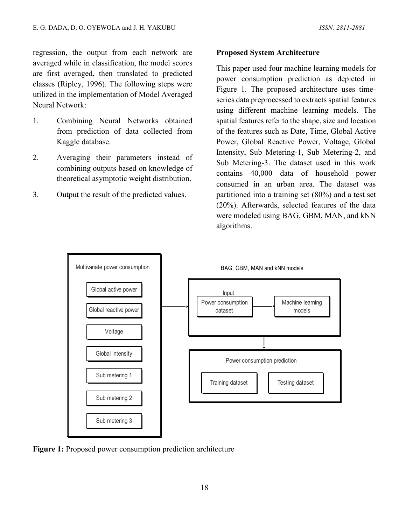regression, the output from each network are averaged while in classification, the model scores are first averaged, then translated to predicted classes (Ripley, 1996). The following steps were utilized in the implementation of Model Averaged Neural Network:

- 1. Combining Neural Networks obtained from prediction of data collected from Kaggle database.
- 2. Averaging their parameters instead of combining outputs based on knowledge of theoretical asymptotic weight distribution.
- 3. Output the result of the predicted values.

## **Proposed System Architecture**

This paper used four machine learning models for power consumption prediction as depicted in Figure 1. The proposed architecture uses timeseries data preprocessed to extracts spatial features using different machine learning models. The spatial features refer to the shape, size and location of the features such as Date, Time, Global Active Power, Global Reactive Power, Voltage, Global Intensity, Sub Metering-1, Sub Metering-2, and Sub Metering-3. The dataset used in this work contains 40,000 data of household power consumed in an urban area. The dataset was partitioned into a training set (80%) and a test set (20%). Afterwards, selected features of the data were modeled using BAG, GBM, MAN, and kNN algorithms.



**Figure 1:** Proposed power consumption prediction architecture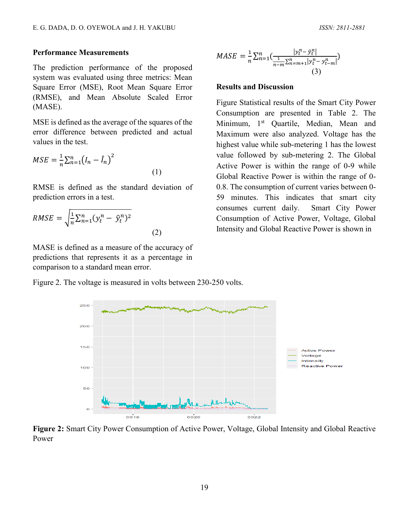### **Performance Measurements**

The prediction performance of the proposed system was evaluated using three metrics: Mean Square Error (MSE), Root Mean Square Error (RMSE), and Mean Absolute Scaled Error (MASE).

MSE is defined as the average of the squares of the error difference between predicted and actual values in the test.

$$
MSE = \frac{1}{n} \sum_{n=1}^{n} (I_n - \hat{I}_n)^2
$$
\n(1)

RMSE is defined as the standard deviation of prediction errors in a test.

$$
RMSE = \sqrt{\frac{1}{n} \sum_{n=1}^{n} (y_t^n - \hat{y}_t^n)^2}
$$

MASE is defined as a measure of the accuracy of predictions that represents it as a percentage in comparison to a standard mean error.

$$
MASE = \frac{1}{n} \sum_{n=1}^{n} \left( \frac{|y_t^n - \hat{y}_t^n|}{\frac{1}{n-m} \sum_{n=m+1}^{n} |y_t^n - y_{t-m}^n|} \right)
$$
\n(3)

#### **Results and Discussion**

Figure Statistical results of the Smart City Power Consumption are presented in Table 2. The Minimum, 1<sup>st</sup> Quartile, Median, Mean and Maximum were also analyzed. Voltage has the highest value while sub-metering 1 has the lowest value followed by sub-metering 2. The Global Active Power is within the range of 0-9 while Global Reactive Power is within the range of 0- 0.8. The consumption of current varies between 0- 59 minutes. This indicates that smart city consumes current daily. Smart City Power Consumption of Active Power, Voltage, Global Intensity and Global Reactive Power is shown in

Figure 2. The voltage is measured in volts between 230-250 volts.

(2)



**Figure 2:** Smart City Power Consumption of Active Power, Voltage, Global Intensity and Global Reactive Power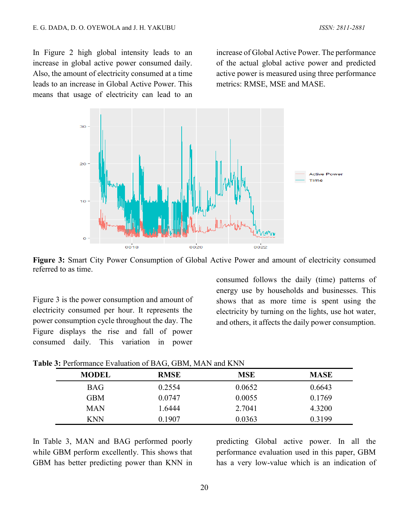In Figure 2 high global intensity leads to an increase in global active power consumed daily. Also, the amount of electricity consumed at a time leads to an increase in Global Active Power. This means that usage of electricity can lead to an

increase of Global Active Power. The performance of the actual global active power and predicted active power is measured using three performance metrics: RMSE, MSE and MASE.



**Figure 3:** Smart City Power Consumption of Global Active Power and amount of electricity consumed referred to as time.

Figure 3 is the power consumption and amount of electricity consumed per hour. It represents the power consumption cycle throughout the day. The Figure displays the rise and fall of power consumed daily. This variation in power

consumed follows the daily (time) patterns of energy use by households and businesses. This shows that as more time is spent using the electricity by turning on the lights, use hot water, and others, it affects the daily power consumption.

| <b>MODEL</b> | <b>RMSE</b> | <b>MSE</b> | <b>MASE</b> |
|--------------|-------------|------------|-------------|
| <b>BAG</b>   | 0.2554      | 0.0652     | 0.6643      |
| <b>GBM</b>   | 0.0747      | 0.0055     | 0.1769      |
| <b>MAN</b>   | 1.6444      | 2.7041     | 4.3200      |
| <b>KNN</b>   | 0.1907      | 0.0363     | 0.3199      |

**Table 3:** Performance Evaluation of BAG, GBM, MAN and KNN

In Table 3, MAN and BAG performed poorly while GBM perform excellently. This shows that GBM has better predicting power than KNN in predicting Global active power. In all the performance evaluation used in this paper, GBM has a very low-value which is an indication of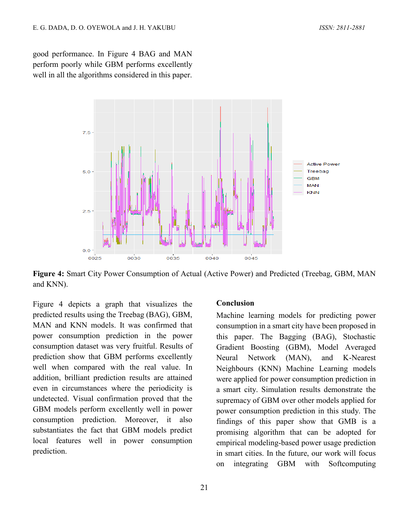good performance. In Figure 4 BAG and MAN perform poorly while GBM performs excellently well in all the algorithms considered in this paper.



**Figure 4:** Smart City Power Consumption of Actual (Active Power) and Predicted (Treebag, GBM, MAN and KNN).

Figure 4 depicts a graph that visualizes the predicted results using the Treebag (BAG), GBM, MAN and KNN models. It was confirmed that power consumption prediction in the power consumption dataset was very fruitful. Results of prediction show that GBM performs excellently well when compared with the real value. In addition, brilliant prediction results are attained even in circumstances where the periodicity is undetected. Visual confirmation proved that the GBM models perform excellently well in power consumption prediction. Moreover, it also substantiates the fact that GBM models predict local features well in power consumption prediction.

#### **Conclusion**

Machine learning models for predicting power consumption in a smart city have been proposed in this paper. The Bagging (BAG), Stochastic Gradient Boosting (GBM), Model Averaged Neural Network (MAN), and K-Nearest Neighbours (KNN) Machine Learning models were applied for power consumption prediction in a smart city. Simulation results demonstrate the supremacy of GBM over other models applied for power consumption prediction in this study. The findings of this paper show that GMB is a promising algorithm that can be adopted for empirical modeling-based power usage prediction in smart cities. In the future, our work will focus on integrating GBM with Softcomputing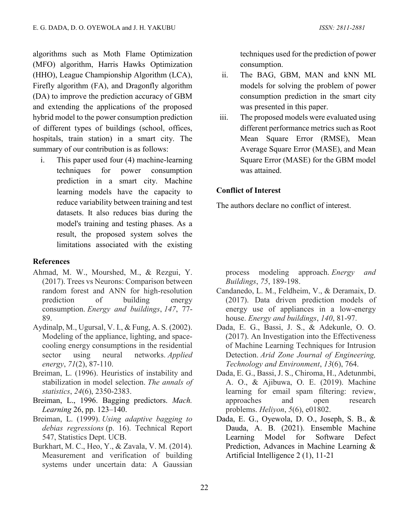algorithms such as Moth Flame Optimization (MFO) algorithm, Harris Hawks Optimization (HHO), League Championship Algorithm (LCA), Firefly algorithm (FA), and Dragonfly algorithm (DA) to improve the prediction accuracy of GBM and extending the applications of the proposed hybrid model to the power consumption prediction of different types of buildings (school, offices, hospitals, train station) in a smart city. The summary of our contribution is as follows:

i. This paper used four (4) machine-learning techniques for power consumption prediction in a smart city. Machine learning models have the capacity to reduce variability between training and test datasets. It also reduces bias during the model's training and testing phases. As a result, the proposed system solves the limitations associated with the existing

#### **References**

- Ahmad, M. W., Mourshed, M., & Rezgui, Y. (2017). Trees vs Neurons: Comparison between random forest and ANN for high-resolution prediction of building energy consumption. *Energy and buildings*, *147*, 77- 89.
- Aydinalp, M., Ugursal, V. I., & Fung, A. S. (2002). Modeling of the appliance, lighting, and spacecooling energy consumptions in the residential sector using neural networks. *Applied energy*, *71*(2), 87-110.
- Breiman, L. (1996). Heuristics of instability and stabilization in model selection. *The annals of statistics*, *24*(6), 2350-2383.
- Breiman, L., 1996. Bagging predictors. *Mach. Learning* 26, pp. 123–140.
- Breiman, L. (1999). *Using adaptive bagging to debias regressions* (p. 16). Technical Report 547, Statistics Dept. UCB.
- Burkhart, M. C., Heo, Y., & Zavala, V. M. (2014). Measurement and verification of building systems under uncertain data: A Gaussian

techniques used for the prediction of power consumption.

- ii. The BAG, GBM, MAN and kNN ML models for solving the problem of power consumption prediction in the smart city was presented in this paper.
- iii. The proposed models were evaluated using different performance metrics such as Root Mean Square Error (RMSE), Mean Average Square Error (MASE), and Mean Square Error (MASE) for the GBM model was attained.

## **Conflict of Interest**

The authors declare no conflict of interest.

process modeling approach. *Energy and Buildings*, *75*, 189-198.

- Candanedo, L. M., Feldheim, V., & Deramaix, D. (2017). Data driven prediction models of energy use of appliances in a low-energy house. *Energy and buildings*, *140*, 81-97.
- Dada, E. G., Bassi, J. S., & Adekunle, O. O. (2017). An Investigation into the Effectiveness of Machine Learning Techniques for Intrusion Detection. *Arid Zone Journal of Engineering, Technology and Environment*, *13*(6), 764.
- Dada, E. G., Bassi, J. S., Chiroma, H., Adetunmbi, A. O., & Ajibuwa, O. E. (2019). Machine learning for email spam filtering: review, approaches and open research problems. *Heliyon*, *5*(6), e01802.
- Dada, E. G., Oyewola, D. O., Joseph, S. B., & Dauda, A. B. (2021). Ensemble Machine Learning Model for Software Defect Prediction, Advances in Machine Learning & Artificial Intelligence 2 (1), 11-21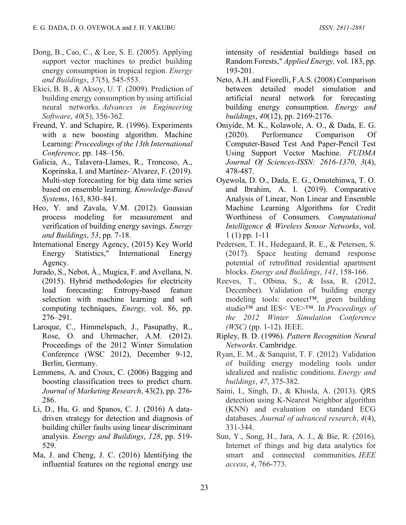- Dong, B., Cao, C., & Lee, S. E. (2005). Applying support vector machines to predict building energy consumption in tropical region. *Energy and Buildings*, *37*(5), 545-553.
- Ekici, B. B., & Aksoy, U. T. (2009). Prediction of building energy consumption by using artificial neural networks. *Advances in Engineering Software*, *40*(5), 356-362.
- Freund, Y. and Schapire, R. (1996). Experiments with a new boosting algorithm. Machine Learning: *Proceedings of the 13th International Conference,* pp. 148–156.
- Galicia, A., Talavera-Llames, R., Troncoso, A., Koprinska, I. and Martínez-´Alvarez, F. (2019). Multi-step forecasting for big data time series based on ensemble learning. *Knowledge-Based Systems*, 163, 830–841.
- Heo, Y. and Zavala, V.M. (2012). Gaussian process modeling for measurement and verification of building energy savings. *Energy and Buildings*, *53*, pp. 7-18.
- International Energy Agency, (2015) Key World Energy Statistics," International Energy Agency.
- Jurado, S., Nebot, À., Mugica, F. and Avellana, N. (2015). Hybrid methodologies for electricity load forecasting: Entropy-based feature selection with machine learning and soft computing techniques, *Energy,* vol. 86, pp. 276–291.
- Laroque, C., Himmelspach, J., Pasupathy, R., Rose, O. and Uhrmacher, A.M. (2012). Proceedings of the 2012 Winter Simulation Conference (WSC 2012), December 9-12, Berlin, Germany.
- Lemmens, A. and Croux, C. (2006) Bagging and boosting classification trees to predict churn. *Journal of Marketing Research*, 43(2), pp. 276- 286.
- Li, D., Hu, G. and Spanos, C. J. (2016) A datadriven strategy for detection and diagnosis of building chiller faults using linear discriminant analysis. *Energy and Buildings*, *128*, pp. 519- 529.
- Ma, J. and Cheng, J. C. (2016) Identifying the influential features on the regional energy use

intensity of residential buildings based on Random Forests," *Applied Energy,* vol. 183, pp. 193-201.

- Neto, A.H. and Fiorelli, F.A.S. (2008) Comparison between detailed model simulation and artificial neural network for forecasting building energy consumption. *Energy and buildings*, *40*(12), pp. 2169-2176.
- Oniyide, M. K., Kolawole, A. O., & Dada, E. G. (2020). Performance Comparison Of Computer-Based Test And Paper-Pencil Test Using Support Vector Machine. *FUDMA Journal Of Sciences-ISSN: 2616-1370*, *3*(4), 478-487.
- Oyewola, D. O., Dada, E. G., Omotehinwa, T. O. and Ibrahim, A. I. (2019). Comparative Analysis of Linear, Non Linear and Ensemble Machine Learning Algorithms for Credit Worthiness of Consumers. *Computational Intelligence & Wireless Sensor Networks*, vol. 1 (1) pp. 1-11
- Pedersen, T. H., Hedegaard, R. E., & Petersen, S. (2017). Space heating demand response potential of retrofitted residential apartment blocks. *Energy and Buildings*, *141*, 158-166.
- Reeves, T., Olbina, S., & Issa, R. (2012, December). Validation of building energy modeling tools: ecotect™, green building studio™ and IES< VE>™. In *Proceedings of the 2012 Winter Simulation Conference (WSC)* (pp. 1-12). IEEE.
- Ripley, B. D. (1996). *Pattern Recognition Neural Networks*. Cambridge.
- Ryan, E. M., & Sanquist, T. F. (2012). Validation of building energy modeling tools under idealized and realistic conditions. *Energy and buildings*, *47*, 375-382.
- Saini, I., Singh, D., & Khosla, A. (2013). QRS detection using K-Nearest Neighbor algorithm (KNN) and evaluation on standard ECG databases. *Journal of advanced research*, *4*(4), 331-344.
- Sun, Y., Song, H., Jara, A. J., & Bie, R. (2016). Internet of things and big data analytics for smart and connected communities. *IEEE access*, *4*, 766-773.